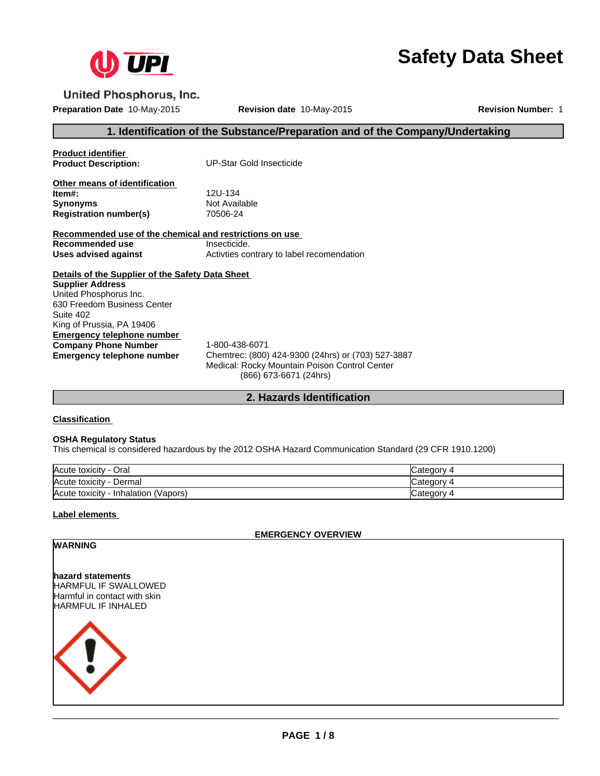

# **Safety Data Sheet**

**United Phosphorus, Inc.** 

**Preparation Date** 10-May-2015 **Revision date** 10-May-2015 **Revision Number:** 1

# **1. Identification of the Substance/Preparation and of the Company/Undertaking**

**Product identifier<br>Product Description:** 

**Product Description:** UP-Star Gold Insecticide

**Other means of identification Item#:** 12U-134 **Synonyms** Not Available<br> **Registration number(s)** 70506-24 **Registration number(s)** 

**Recommended use of the chemical and restrictions on use Recommended use** Insecticide.<br> **Uses advised against** Activities co Activties contrary to label recomendation

**Details of the Supplier of the Safety Data Sheet Emergency telephone number**<br>**Company Phone Number** 1-800-438-6071 **Company Phone Number<br>Emergency telephone number Supplier Address** United Phosphorus Inc. 630 Freedom Business Center Suite 402 King of Prussia, PA 19406

**Emergency telephone number** Chemtrec: (800) 424-9300 (24hrs) or (703) 527-3887 Medical: Rocky Mountain Poison Control Center (866) 673-6671 (24hrs)

# **2. Hazards Identification**

**Classification** 

#### **OSHA Regulatory Status**

This chemical is considered hazardous by the 2012 OSHA Hazard Communication Standard (29 CFR 1910.1200)

| Acute toxicity - Oral                   | ″ ategory۔ |
|-----------------------------------------|------------|
| Acute toxicity<br>Dermal                | ∵ atedoryب |
| - Inhalation (Vapors)<br>Acute toxicity | Category 4 |

# **Label elements**

**EMERGENCY OVERVIEW**

# **WARNING**

**hazard statements** HARMFUL IF SWALLOWED Harmful in contact with skin HARMFUL IF INHALED

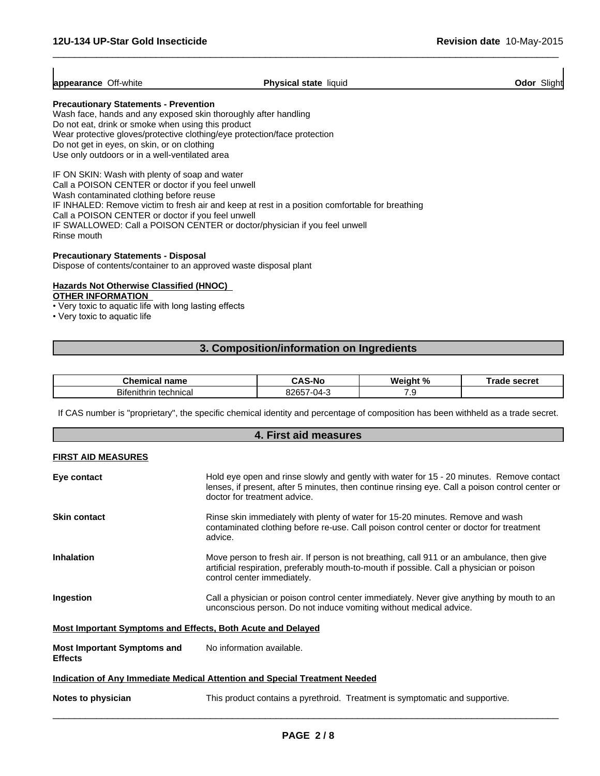**appearance** Off-white

**Physical state** liquid **Odor Slight Odor Slight** 

 $\overline{\phantom{a}}$  ,  $\overline{\phantom{a}}$  ,  $\overline{\phantom{a}}$  ,  $\overline{\phantom{a}}$  ,  $\overline{\phantom{a}}$  ,  $\overline{\phantom{a}}$  ,  $\overline{\phantom{a}}$  ,  $\overline{\phantom{a}}$  ,  $\overline{\phantom{a}}$  ,  $\overline{\phantom{a}}$  ,  $\overline{\phantom{a}}$  ,  $\overline{\phantom{a}}$  ,  $\overline{\phantom{a}}$  ,  $\overline{\phantom{a}}$  ,  $\overline{\phantom{a}}$  ,  $\overline{\phantom{a}}$ 

# **Precautionary Statements - Prevention**

Wash face, hands and any exposed skin thoroughly after handling Do not eat, drink or smoke when using this product Wear protective gloves/protective clothing/eye protection/face protection Do not get in eyes, on skin, or on clothing Use only outdoors or in a well-ventilated area

IF ON SKIN: Wash with plenty of soap and water Call a POISON CENTER or doctor if you feel unwell Wash contaminated clothing before reuse IF INHALED: Remove victim to fresh air and keep at rest in a position comfortable for breathing Call a POISON CENTER or doctor if you feel unwell IF SWALLOWED: Call a POISON CENTER or doctor/physician if you feel unwell Rinse mouth

# **Precautionary Statements - Disposal**

Dispose of contents/container to an approved waste disposal plant

# **Hazards Not Otherwise Classified (HNOC)**

# **OTHER INFORMATION**

• Very toxic to aquatic life with long lasting effects

• Very toxic to aquatic life

# **3. Composition/information on Ingredients**

| name<br>:hen<br><br>л              | -N                    | w.<br>Ω. | $\sim$<br>SECI El |
|------------------------------------|-----------------------|----------|-------------------|
| Bife<br>technical<br>.<br>enithrii | - 171 -<br>۰٫/۲<br>-ט |          |                   |

If CAS number is "proprietary", the specific chemical identity and percentage of composition has been withheld as a trade secret.

|                                                             | 4. First aid measures                                                                                                                                                                                                       |
|-------------------------------------------------------------|-----------------------------------------------------------------------------------------------------------------------------------------------------------------------------------------------------------------------------|
| <b>FIRST AID MEASURES</b>                                   |                                                                                                                                                                                                                             |
| Eye contact                                                 | Hold eye open and rinse slowly and gently with water for 15 - 20 minutes. Remove contact<br>lenses, if present, after 5 minutes, then continue rinsing eye. Call a poison control center or<br>doctor for treatment advice. |
| <b>Skin contact</b>                                         | Rinse skin immediately with plenty of water for 15-20 minutes. Remove and wash<br>contaminated clothing before re-use. Call poison control center or doctor for treatment<br>advice.                                        |
| <b>Inhalation</b>                                           | Move person to fresh air. If person is not breathing, call 911 or an ambulance, then give<br>artificial respiration, preferably mouth-to-mouth if possible. Call a physician or poison<br>control center immediately.       |
| Ingestion                                                   | Call a physician or poison control center immediately. Never give anything by mouth to an<br>unconscious person. Do not induce vomiting without medical advice.                                                             |
| Most Important Symptoms and Effects, Both Acute and Delayed |                                                                                                                                                                                                                             |
| <b>Most Important Symptoms and</b><br><b>Effects</b>        | No information available.                                                                                                                                                                                                   |
|                                                             | <b>Indication of Any Immediate Medical Attention and Special Treatment Needed</b>                                                                                                                                           |
| Notes to physician                                          | This product contains a pyrethroid. Treatment is symptomatic and supportive.                                                                                                                                                |
|                                                             |                                                                                                                                                                                                                             |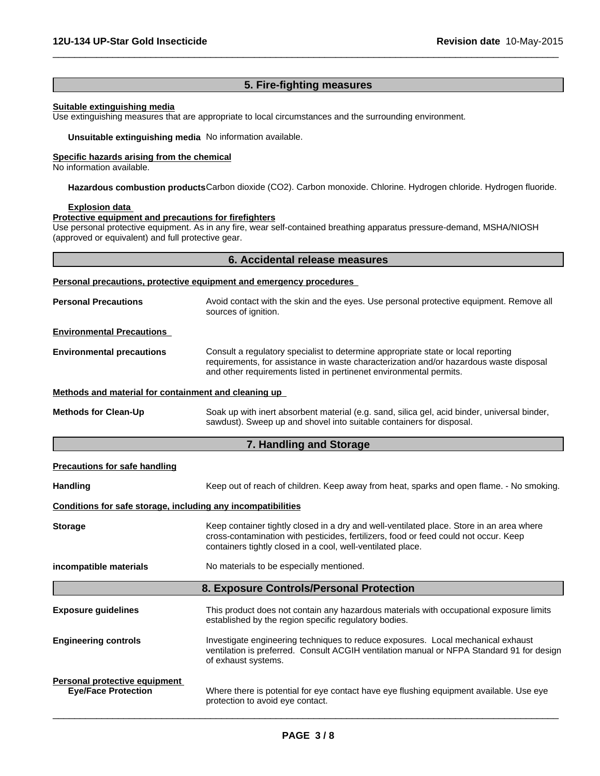# **5. Fire-fighting measures**

 $\overline{\phantom{a}}$  ,  $\overline{\phantom{a}}$  ,  $\overline{\phantom{a}}$  ,  $\overline{\phantom{a}}$  ,  $\overline{\phantom{a}}$  ,  $\overline{\phantom{a}}$  ,  $\overline{\phantom{a}}$  ,  $\overline{\phantom{a}}$  ,  $\overline{\phantom{a}}$  ,  $\overline{\phantom{a}}$  ,  $\overline{\phantom{a}}$  ,  $\overline{\phantom{a}}$  ,  $\overline{\phantom{a}}$  ,  $\overline{\phantom{a}}$  ,  $\overline{\phantom{a}}$  ,  $\overline{\phantom{a}}$ 

#### **Suitable extinguishing media**

Use extinguishing measures that are appropriate to local circumstances and the surrounding environment.

**Unsuitable extinguishing media** No information available.

# **Specific hazards arising from the chemical**

No information available.

**Hazardous combustion products**Carbon dioxide (CO2). Carbon monoxide. Chlorine. Hydrogen chloride. Hydrogen fluoride.

#### **Explosion data**

#### **Protective equipment and precautions for firefighters**

Use personal protective equipment. As in any fire, wear self-contained breathing apparatus pressure-demand, MSHA/NIOSH (approved or equivalent) and full protective gear.

| 6. Accidental release measures |
|--------------------------------|
|--------------------------------|

#### **Personal precautions, protective equipment and emergency procedures**

**Personal Precautions** Avoid contact with the skin and the eyes. Use personal protective equipment. Remove all sources of ignition.

#### **Environmental Precautions**

**Environmental precautions** Consult a regulatory specialist to determine appropriate state or local reporting requirements, for assistance in waste characterization and/or hazardous waste disposal and other requirements listed in pertinenet environmental permits.

#### **Methods and material for containment and cleaning up**

**Methods for Clean-Up** Soak up with inert absorbent material (e.g. sand, silica gel, acid binder, universal binder, sawdust). Sweep up and shovel into suitable containers for disposal.

# **7. Handling and Storage**

|--|

| <b>Handling</b>                                              | Keep out of reach of children. Keep away from heat, sparks and open flame. - No smoking.                                                                                                                                                        |
|--------------------------------------------------------------|-------------------------------------------------------------------------------------------------------------------------------------------------------------------------------------------------------------------------------------------------|
| Conditions for safe storage, including any incompatibilities |                                                                                                                                                                                                                                                 |
| <b>Storage</b>                                               | Keep container tightly closed in a dry and well-ventilated place. Store in an area where<br>cross-contamination with pesticides, fertilizers, food or feed could not occur. Keep<br>containers tightly closed in a cool, well-ventilated place. |
| incompatible materials                                       | No materials to be especially mentioned.                                                                                                                                                                                                        |
|                                                              | 8. Exposure Controls/Personal Protection                                                                                                                                                                                                        |
| <b>Exposure guidelines</b>                                   | This product does not contain any hazardous materials with occupational exposure limits<br>established by the region specific regulatory bodies.                                                                                                |
| <b>Engineering controls</b>                                  | Investigate engineering techniques to reduce exposures. Local mechanical exhaust<br>ventilation is preferred. Consult ACGIH ventilation manual or NFPA Standard 91 for design<br>of exhaust systems.                                            |
| Personal protective equipment<br><b>Eye/Face Protection</b>  | Where there is potential for eye contact have eye flushing equipment available. Use eye<br>protection to avoid eye contact.                                                                                                                     |
|                                                              |                                                                                                                                                                                                                                                 |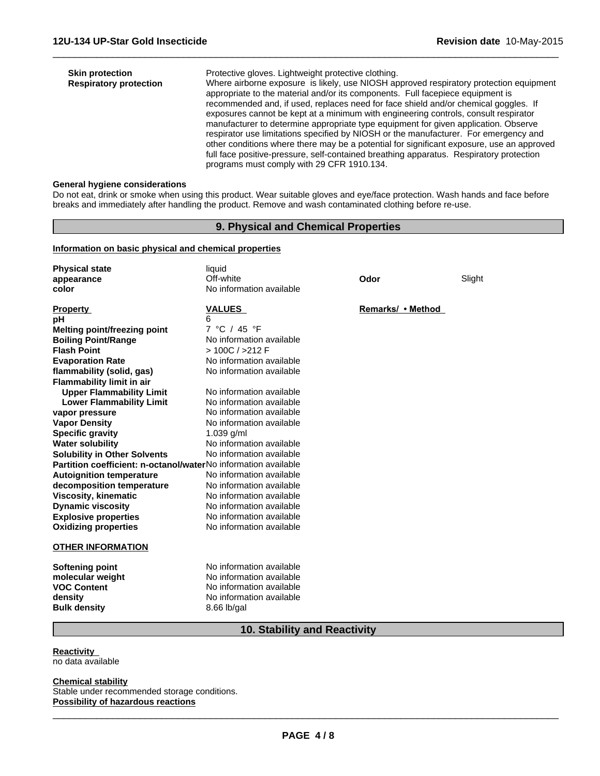| <b>Skin protection</b>        | Protective gloves. Lightweight protective clothing.                                                                                                                                                                                                                                                                                                                                                                                                                                                                                                                                                                                                                                                                                                                         |
|-------------------------------|-----------------------------------------------------------------------------------------------------------------------------------------------------------------------------------------------------------------------------------------------------------------------------------------------------------------------------------------------------------------------------------------------------------------------------------------------------------------------------------------------------------------------------------------------------------------------------------------------------------------------------------------------------------------------------------------------------------------------------------------------------------------------------|
| <b>Respiratory protection</b> | Where airborne exposure is likely, use NIOSH approved respiratory protection equipment<br>appropriate to the material and/or its components. Full facepiece equipment is<br>recommended and, if used, replaces need for face shield and/or chemical goggles. If<br>exposures cannot be kept at a minimum with engineering controls, consult respirator<br>manufacturer to determine appropriate type equipment for given application. Observe<br>respirator use limitations specified by NIOSH or the manufacturer. For emergency and<br>other conditions where there may be a potential for significant exposure, use an approved<br>full face positive-pressure, self-contained breathing apparatus. Respiratory protection<br>programs must comply with 29 CFR 1910.134. |

 $\overline{\phantom{a}}$  ,  $\overline{\phantom{a}}$  ,  $\overline{\phantom{a}}$  ,  $\overline{\phantom{a}}$  ,  $\overline{\phantom{a}}$  ,  $\overline{\phantom{a}}$  ,  $\overline{\phantom{a}}$  ,  $\overline{\phantom{a}}$  ,  $\overline{\phantom{a}}$  ,  $\overline{\phantom{a}}$  ,  $\overline{\phantom{a}}$  ,  $\overline{\phantom{a}}$  ,  $\overline{\phantom{a}}$  ,  $\overline{\phantom{a}}$  ,  $\overline{\phantom{a}}$  ,  $\overline{\phantom{a}}$ 

### **General hygiene considerations**

Do not eat, drink or smoke when using this product. Wear suitable gloves and eye/face protection. Wash hands and face before breaks and immediately after handling the product. Remove and wash contaminated clothing before re-use.

# **9. Physical and Chemical Properties**

### **Information on basic physical and chemical properties**

| <b>Physical state</b>                                          | liquid                   |                   |        |  |
|----------------------------------------------------------------|--------------------------|-------------------|--------|--|
| appearance                                                     | Off-white                | Odor              | Slight |  |
| color                                                          | No information available |                   |        |  |
| <b>Property</b>                                                | <b>VALUES</b>            | Remarks/ • Method |        |  |
| рH                                                             | 6                        |                   |        |  |
| <b>Melting point/freezing point</b>                            | 7 °C / 45 °F             |                   |        |  |
| <b>Boiling Point/Range</b>                                     | No information available |                   |        |  |
| <b>Flash Point</b>                                             | >100C / 212F             |                   |        |  |
| <b>Evaporation Rate</b>                                        | No information available |                   |        |  |
| flammability (solid, gas)                                      | No information available |                   |        |  |
| <b>Flammability limit in air</b>                               |                          |                   |        |  |
| <b>Upper Flammability Limit</b>                                | No information available |                   |        |  |
| <b>Lower Flammability Limit</b>                                | No information available |                   |        |  |
| vapor pressure                                                 | No information available |                   |        |  |
| <b>Vapor Density</b>                                           | No information available |                   |        |  |
| <b>Specific gravity</b>                                        | $1.039$ g/ml             |                   |        |  |
| <b>Water solubility</b>                                        | No information available |                   |        |  |
| <b>Solubility in Other Solvents</b>                            | No information available |                   |        |  |
| Partition coefficient: n-octanol/waterNo information available |                          |                   |        |  |
| <b>Autoignition temperature</b>                                | No information available |                   |        |  |
| decomposition temperature                                      | No information available |                   |        |  |
| <b>Viscosity, kinematic</b>                                    | No information available |                   |        |  |
| <b>Dynamic viscosity</b>                                       | No information available |                   |        |  |
| <b>Explosive properties</b>                                    | No information available |                   |        |  |
| <b>Oxidizing properties</b>                                    | No information available |                   |        |  |
| <b>OTHER INFORMATION</b>                                       |                          |                   |        |  |
| Softening point                                                | No information available |                   |        |  |
| molecular weight                                               | No information available |                   |        |  |
| <b>VOC Content</b>                                             | No information available |                   |        |  |
| density                                                        | No information available |                   |        |  |
| <b>Bulk density</b>                                            | 8.66 lb/gal              |                   |        |  |

# **10. Stability and Reactivity**

**Reactivity**  no data available

#### **Chemical stability**

Stable under recommended storage conditions. **Possibility of hazardous reactions**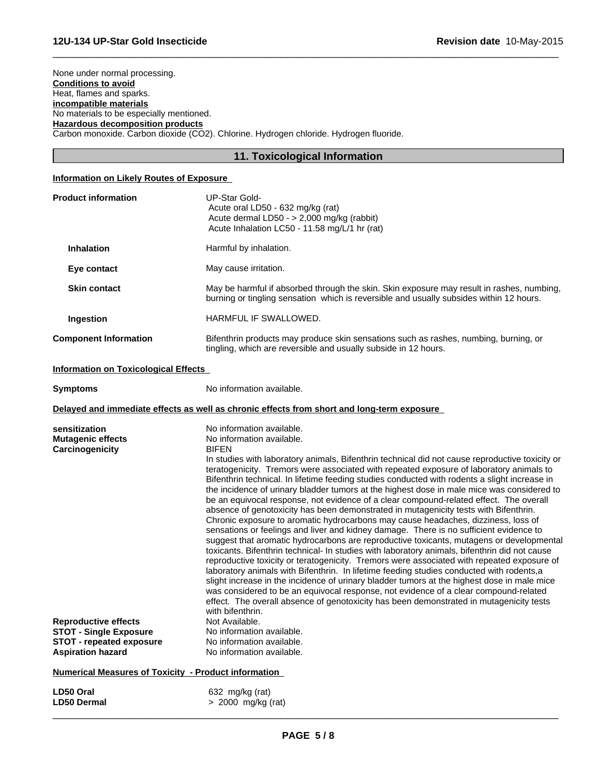None under normal processing. **Conditions to avoid** Heat, flames and sparks. **incompatible materials** No materials to be especially mentioned. **Hazardous decomposition products** Carbon monoxide. Carbon dioxide (CO2). Chlorine. Hydrogen chloride. Hydrogen fluoride.

# **11. Toxicological Information**

 $\overline{\phantom{a}}$  ,  $\overline{\phantom{a}}$  ,  $\overline{\phantom{a}}$  ,  $\overline{\phantom{a}}$  ,  $\overline{\phantom{a}}$  ,  $\overline{\phantom{a}}$  ,  $\overline{\phantom{a}}$  ,  $\overline{\phantom{a}}$  ,  $\overline{\phantom{a}}$  ,  $\overline{\phantom{a}}$  ,  $\overline{\phantom{a}}$  ,  $\overline{\phantom{a}}$  ,  $\overline{\phantom{a}}$  ,  $\overline{\phantom{a}}$  ,  $\overline{\phantom{a}}$  ,  $\overline{\phantom{a}}$ 

# **Information on Likely Routes of Exposure**

| <b>Product information</b><br><b>UP-Star Gold-</b><br>Acute oral LD50 - 632 mg/kg (rat)<br>Acute dermal LD50 - > 2,000 mg/kg (rabbit)<br>Acute Inhalation LC50 - 11.58 mg/L/1 hr (rat)                                                                                    |                                                                                                                                                                                                                                                                                                                                                                                                                                                                                                                                                                                                                                                                                                                                                                                                                                                                                                                                                                                                                                                                                                                                                                                                                                                                                                                                                                                                                                      |
|---------------------------------------------------------------------------------------------------------------------------------------------------------------------------------------------------------------------------------------------------------------------------|--------------------------------------------------------------------------------------------------------------------------------------------------------------------------------------------------------------------------------------------------------------------------------------------------------------------------------------------------------------------------------------------------------------------------------------------------------------------------------------------------------------------------------------------------------------------------------------------------------------------------------------------------------------------------------------------------------------------------------------------------------------------------------------------------------------------------------------------------------------------------------------------------------------------------------------------------------------------------------------------------------------------------------------------------------------------------------------------------------------------------------------------------------------------------------------------------------------------------------------------------------------------------------------------------------------------------------------------------------------------------------------------------------------------------------------|
| <b>Inhalation</b><br>Harmful by inhalation.                                                                                                                                                                                                                               |                                                                                                                                                                                                                                                                                                                                                                                                                                                                                                                                                                                                                                                                                                                                                                                                                                                                                                                                                                                                                                                                                                                                                                                                                                                                                                                                                                                                                                      |
| May cause irritation.<br>Eye contact                                                                                                                                                                                                                                      |                                                                                                                                                                                                                                                                                                                                                                                                                                                                                                                                                                                                                                                                                                                                                                                                                                                                                                                                                                                                                                                                                                                                                                                                                                                                                                                                                                                                                                      |
| <b>Skin contact</b>                                                                                                                                                                                                                                                       | May be harmful if absorbed through the skin. Skin exposure may result in rashes, numbing,<br>burning or tingling sensation which is reversible and usually subsides within 12 hours.                                                                                                                                                                                                                                                                                                                                                                                                                                                                                                                                                                                                                                                                                                                                                                                                                                                                                                                                                                                                                                                                                                                                                                                                                                                 |
| HARMFUL IF SWALLOWED.<br>Ingestion                                                                                                                                                                                                                                        |                                                                                                                                                                                                                                                                                                                                                                                                                                                                                                                                                                                                                                                                                                                                                                                                                                                                                                                                                                                                                                                                                                                                                                                                                                                                                                                                                                                                                                      |
| <b>Component Information</b>                                                                                                                                                                                                                                              | Bifenthrin products may produce skin sensations such as rashes, numbing, burning, or<br>tingling, which are reversible and usually subside in 12 hours.                                                                                                                                                                                                                                                                                                                                                                                                                                                                                                                                                                                                                                                                                                                                                                                                                                                                                                                                                                                                                                                                                                                                                                                                                                                                              |
| <b>Information on Toxicological Effects</b>                                                                                                                                                                                                                               |                                                                                                                                                                                                                                                                                                                                                                                                                                                                                                                                                                                                                                                                                                                                                                                                                                                                                                                                                                                                                                                                                                                                                                                                                                                                                                                                                                                                                                      |
| No information available.<br><b>Symptoms</b>                                                                                                                                                                                                                              |                                                                                                                                                                                                                                                                                                                                                                                                                                                                                                                                                                                                                                                                                                                                                                                                                                                                                                                                                                                                                                                                                                                                                                                                                                                                                                                                                                                                                                      |
| Delayed and immediate effects as well as chronic effects from short and long-term exposure                                                                                                                                                                                |                                                                                                                                                                                                                                                                                                                                                                                                                                                                                                                                                                                                                                                                                                                                                                                                                                                                                                                                                                                                                                                                                                                                                                                                                                                                                                                                                                                                                                      |
| No information available.<br>sensitization<br>No information available.<br><b>Mutagenic effects</b><br><b>BIFEN</b><br>Carcinogenicity<br>with bifenthrin.<br>Not Available.<br><b>Reproductive effects</b><br>No information available.<br><b>STOT - Single Exposure</b> | In studies with laboratory animals, Bifenthrin technical did not cause reproductive toxicity or<br>teratogenicity. Tremors were associated with repeated exposure of laboratory animals to<br>Bifenthrin technical. In lifetime feeding studies conducted with rodents a slight increase in<br>the incidence of urinary bladder tumors at the highest dose in male mice was considered to<br>be an equivocal response, not evidence of a clear compound-related effect. The overall<br>absence of genotoxicity has been demonstrated in mutagenicity tests with Bifenthrin.<br>Chronic exposure to aromatic hydrocarbons may cause headaches, dizziness, loss of<br>sensations or feelings and liver and kidney damage. There is no sufficient evidence to<br>suggest that aromatic hydrocarbons are reproductive toxicants, mutagens or developmental<br>toxicants. Bifenthrin technical- In studies with laboratory animals, bifenthrin did not cause<br>reproductive toxicity or teratogenicity. Tremors were associated with repeated exposure of<br>laboratory animals with Bifenthrin. In lifetime feeding studies conducted with rodents, a<br>slight increase in the incidence of urinary bladder tumors at the highest dose in male mice<br>was considered to be an equivocal response, not evidence of a clear compound-related<br>effect. The overall absence of genotoxicity has been demonstrated in mutagenicity tests |
| No information available.<br><b>STOT - repeated exposure</b><br><b>Aspiration hazard</b><br>No information available.                                                                                                                                                     |                                                                                                                                                                                                                                                                                                                                                                                                                                                                                                                                                                                                                                                                                                                                                                                                                                                                                                                                                                                                                                                                                                                                                                                                                                                                                                                                                                                                                                      |

| Numerical Measures of Toxicity - Product information          |  |
|---------------------------------------------------------------|--|
| 632 mg/kg (rat)<br>$> 2000$ mg/kg (rat)<br><b>LD50 Dermal</b> |  |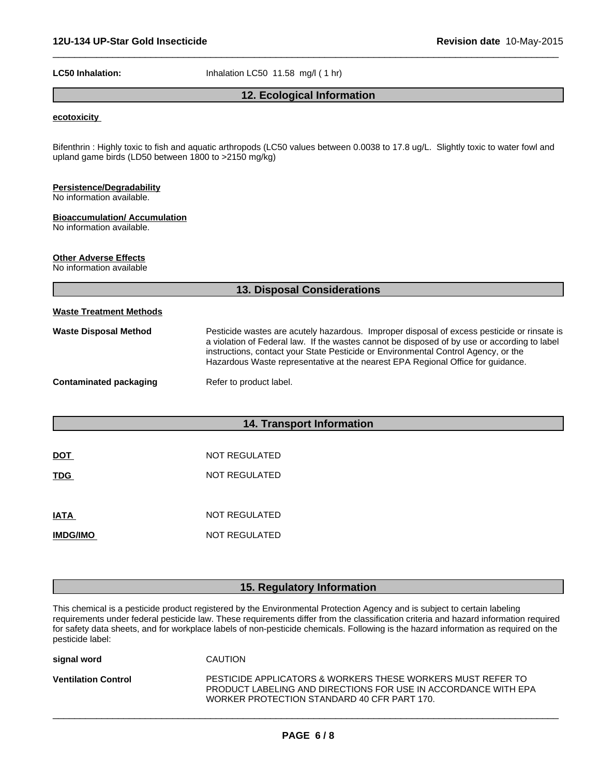LC50 Inhalation: **Inhalation** Inhalation LC50 11.58 mg/l (1 hr)

# **12. Ecological Information**

 $\overline{\phantom{a}}$  ,  $\overline{\phantom{a}}$  ,  $\overline{\phantom{a}}$  ,  $\overline{\phantom{a}}$  ,  $\overline{\phantom{a}}$  ,  $\overline{\phantom{a}}$  ,  $\overline{\phantom{a}}$  ,  $\overline{\phantom{a}}$  ,  $\overline{\phantom{a}}$  ,  $\overline{\phantom{a}}$  ,  $\overline{\phantom{a}}$  ,  $\overline{\phantom{a}}$  ,  $\overline{\phantom{a}}$  ,  $\overline{\phantom{a}}$  ,  $\overline{\phantom{a}}$  ,  $\overline{\phantom{a}}$ 

# **ecotoxicity**

Bifenthrin : Highly toxic to fish and aquatic arthropods (LC50 values between 0.0038 to 17.8 ug/L. Slightly toxic to water fowl and upland game birds (LD50 between 1800 to >2150 mg/kg)

# **Persistence/Degradability**

No information available.

#### **Bioaccumulation/ Accumulation**

No information available.

# **Other Adverse Effects**

No information available

|                                | <b>13. Disposal Considerations</b>                                                                                                                                                                                                                                                                                                                                   |
|--------------------------------|----------------------------------------------------------------------------------------------------------------------------------------------------------------------------------------------------------------------------------------------------------------------------------------------------------------------------------------------------------------------|
| <b>Waste Treatment Methods</b> |                                                                                                                                                                                                                                                                                                                                                                      |
| <b>Waste Disposal Method</b>   | Pesticide wastes are acutely hazardous. Improper disposal of excess pesticide or rinsate is<br>a violation of Federal law. If the wastes cannot be disposed of by use or according to label<br>instructions, contact your State Pesticide or Environmental Control Agency, or the<br>Hazardous Waste representative at the nearest EPA Regional Office for guidance. |
| Contaminated packaging         | Refer to product label.                                                                                                                                                                                                                                                                                                                                              |
|                                |                                                                                                                                                                                                                                                                                                                                                                      |
|                                | <b>14. Transport Information</b>                                                                                                                                                                                                                                                                                                                                     |
| <b>DOT</b>                     | NOT REGULATED                                                                                                                                                                                                                                                                                                                                                        |
| <b>TDG</b>                     | NOT REGULATED                                                                                                                                                                                                                                                                                                                                                        |
|                                |                                                                                                                                                                                                                                                                                                                                                                      |
| <b>IATA</b>                    | NOT REGULATED                                                                                                                                                                                                                                                                                                                                                        |
| <b>IMDG/IMO</b>                | NOT REGULATED                                                                                                                                                                                                                                                                                                                                                        |

# **15. Regulatory Information**

This chemical is a pesticide product registered by the Environmental Protection Agency and is subject to certain labeling requirements under federal pesticide law. These requirements differ from the classification criteria and hazard information required for safety data sheets, and for workplace labels of non-pesticide chemicals. Following is the hazard information as required on the pesticide label:

| PESTICIDE APPLICATORS & WORKERS THESE WORKERS MUST REFER TO<br><b>Ventilation Control</b><br>PRODUCT LABELING AND DIRECTIONS FOR USE IN ACCORDANCE WITH EPA<br>WORKER PROTECTION STANDARD 40 CFR PART 170. |
|------------------------------------------------------------------------------------------------------------------------------------------------------------------------------------------------------------|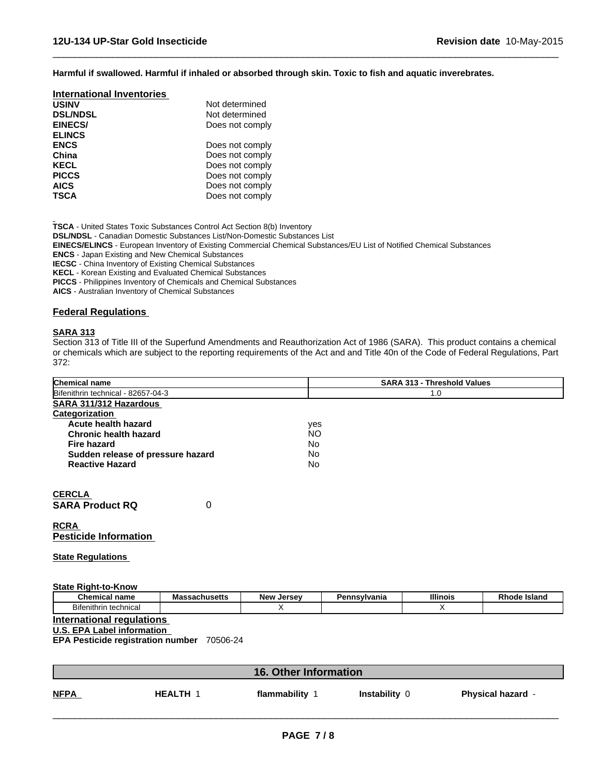**Harmful if swallowed. Harmful if inhaled or absorbed through skin. Toxic to fish and aquatic inverebrates.**

 $\overline{\phantom{a}}$  ,  $\overline{\phantom{a}}$  ,  $\overline{\phantom{a}}$  ,  $\overline{\phantom{a}}$  ,  $\overline{\phantom{a}}$  ,  $\overline{\phantom{a}}$  ,  $\overline{\phantom{a}}$  ,  $\overline{\phantom{a}}$  ,  $\overline{\phantom{a}}$  ,  $\overline{\phantom{a}}$  ,  $\overline{\phantom{a}}$  ,  $\overline{\phantom{a}}$  ,  $\overline{\phantom{a}}$  ,  $\overline{\phantom{a}}$  ,  $\overline{\phantom{a}}$  ,  $\overline{\phantom{a}}$ 

| <b>International Inventories</b> |                 |
|----------------------------------|-----------------|
| <b>USINV</b>                     | Not determined  |
| <b>DSL/NDSL</b>                  | Not determined  |
| EINECS/                          | Does not comply |
| <b>ELINCS</b>                    |                 |
| <b>ENCS</b>                      | Does not comply |
| China                            | Does not comply |
| <b>KECL</b>                      | Does not comply |
| <b>PICCS</b>                     | Does not comply |
| <b>AICS</b>                      | Does not comply |
| <b>TSCA</b>                      | Does not comply |

**TSCA** - United States Toxic Substances Control Act Section 8(b) Inventory **DSL/NDSL** - Canadian Domestic Substances List/Non-Domestic Substances List **EINECS/ELINCS** - European Inventory of Existing Commercial Chemical Substances/EU List of Notified Chemical Substances **ENCS** - Japan Existing and New Chemical Substances **IECSC** - China Inventory of Existing Chemical Substances **KECL** - Korean Existing and Evaluated Chemical Substances **PICCS** - Philippines Inventory of Chemicals and Chemical Substances **AICS** - Australian Inventory of Chemical Substances

# **Federal Regulations**

# **SARA 313**

Section 313 of Title III of the Superfund Amendments and Reauthorization Act of 1986 (SARA). This product contains a chemical or chemicals which are subject to the reporting requirements of the Act and and Title 40n of the Code of Federal Regulations, Part 372:

| <b>Chemical name</b>               | <b>SARA 313 - Threshold Values</b> |
|------------------------------------|------------------------------------|
| Bifenithrin technical - 82657-04-3 | 1.0                                |
| SARA 311/312 Hazardous             |                                    |
| <b>Categorization</b>              |                                    |
| Acute health hazard                | yes                                |
| <b>Chronic health hazard</b>       | <b>NO</b>                          |
| Fire hazard                        | <b>No</b>                          |
| Sudden release of pressure hazard  | No.                                |
| <b>Reactive Hazard</b>             | <b>No</b>                          |
|                                    |                                    |
| <b>CERCLA</b>                      |                                    |
| <b>SARA Product RQ</b><br>0        |                                    |
| <b>RCRA</b>                        |                                    |
| <b>Pesticide Information</b>       |                                    |
| <b>State Regulations</b>           |                                    |

| <b>State</b><br>Riaht-to-Know ؛ |               |               |              |                 |              |
|---------------------------------|---------------|---------------|--------------|-----------------|--------------|
| <b>Chemical name</b>            | Massachusetts | New<br>Jersev | Pennsylvania | <b>Illinois</b> | Rhode Island |
| Bifenithrin technical           |               |               |              |                 |              |

**International regulations** 

**U.S. EPA Label information** 

**EPA Pesticide registration number** 70506-24

|             | <b>16. Other Information</b> |              |               |                          |  |
|-------------|------------------------------|--------------|---------------|--------------------------|--|
| <u>NFPA</u> | <b>HEALTH</b>                | flammability | Instability 0 | <b>Physical hazard -</b> |  |
|             |                              |              |               |                          |  |